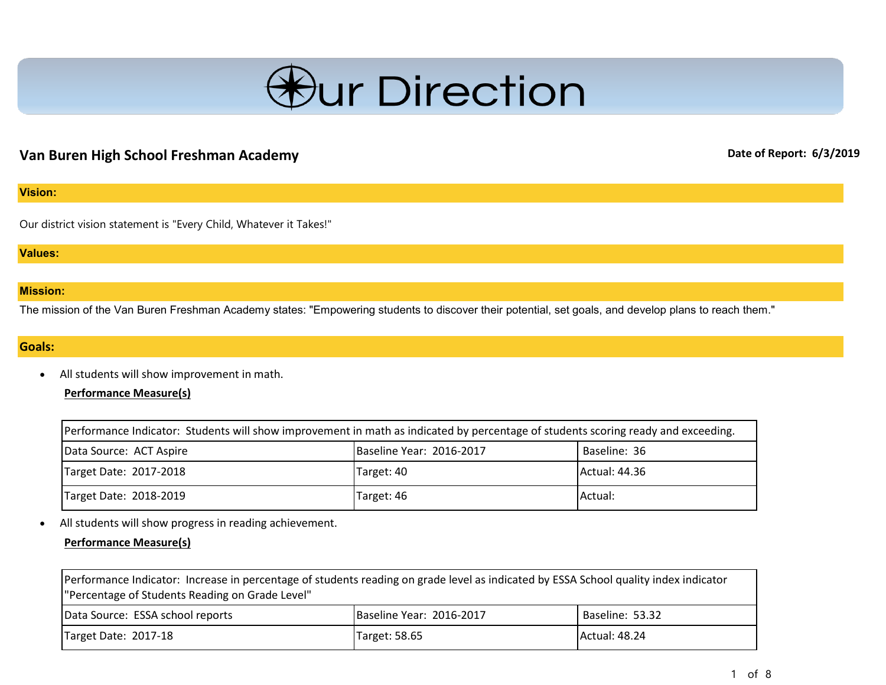

# **Van Buren High School Freshman Academy Date of Report: 6/3/2019 Date of Report: 6/3/2019**

### **Vision:**

Our district vision statement is "Every Child, Whatever it Takes!"

#### **Values:**

### **Mission:**

The mission of the Van Buren Freshman Academy states: "Empowering students to discover their potential, set goals, and develop plans to reach them."

# **Goals:**

• All students will show improvement in math.

# **Performance Measure(s)**

| Performance Indicator: Students will show improvement in math as indicated by percentage of students scoring ready and exceeding. |                          |               |
|-----------------------------------------------------------------------------------------------------------------------------------|--------------------------|---------------|
| Data Source: ACT Aspire                                                                                                           | Baseline Year: 2016-2017 | Baseline: 36  |
| Target Date: 2017-2018                                                                                                            | Target: 40               | Actual: 44.36 |
| Target Date: 2018-2019                                                                                                            | Target: 46               | Actual:       |

• All students will show progress in reading achievement.

# **Performance Measure(s)**

| Performance Indicator: Increase in percentage of students reading on grade level as indicated by ESSA School quality index indicator<br>"Percentage of Students Reading on Grade Level" |                          |                      |
|-----------------------------------------------------------------------------------------------------------------------------------------------------------------------------------------|--------------------------|----------------------|
| Data Source: ESSA school reports                                                                                                                                                        | Baseline Year: 2016-2017 | Baseline: 53.32      |
| Target Date: 2017-18                                                                                                                                                                    | Target: 58.65            | <b>Actual: 48.24</b> |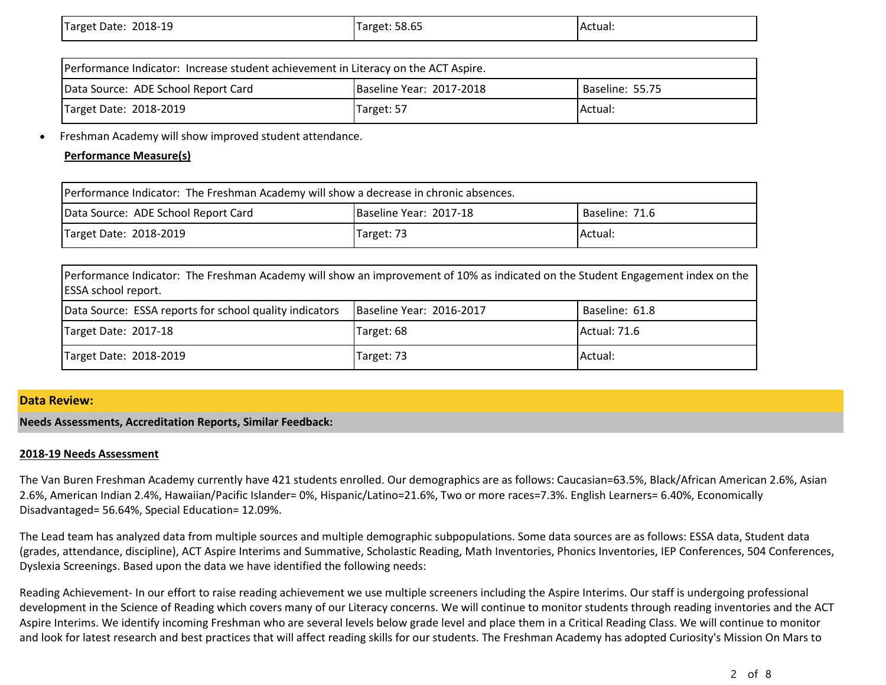| 2018-19<br>Target Date:<br>__ | Target: 58.65 | IActual: |
|-------------------------------|---------------|----------|
|                               |               |          |

| Performance Indicator: Increase student achievement in Literacy on the ACT Aspire. |                          |                 |
|------------------------------------------------------------------------------------|--------------------------|-----------------|
| Data Source: ADE School Report Card                                                | Baseline Year: 2017-2018 | Baseline: 55.75 |
| Target Date: 2018-2019                                                             | Target: 57               | <b>Actual:</b>  |

• Freshman Academy will show improved student attendance.

# **Performance Measure(s)**

| Performance Indicator: The Freshman Academy will show a decrease in chronic absences. |                        |                |
|---------------------------------------------------------------------------------------|------------------------|----------------|
| Data Source: ADE School Report Card                                                   | Baseline Year: 2017-18 | Baseline: 71.6 |
| Target Date: 2018-2019                                                                | Target: 73             | Actual:        |

| Performance Indicator: The Freshman Academy will show an improvement of 10% as indicated on the Student Engagement index on the<br><b>ESSA</b> school report. |                          |                |
|---------------------------------------------------------------------------------------------------------------------------------------------------------------|--------------------------|----------------|
| Data Source: ESSA reports for school quality indicators                                                                                                       | Baseline Year: 2016-2017 | Baseline: 61.8 |
| Target Date: 2017-18                                                                                                                                          | Target: 68               | Actual: 71.6   |
| Target Date: 2018-2019                                                                                                                                        | Target: 73               | Actual:        |

# **Data Review:**

**Needs Assessments, Accreditation Reports, Similar Feedback:**

### **2018-19 Needs Assessment**

The Van Buren Freshman Academy currently have 421 students enrolled. Our demographics are as follows: Caucasian=63.5%, Black/African American 2.6%, Asian 2.6%, American Indian 2.4%, Hawaiian/Pacific Islander= 0%, Hispanic/Latino=21.6%, Two or more races=7.3%. English Learners= 6.40%, Economically Disadvantaged= 56.64%, Special Education= 12.09%.

The Lead team has analyzed data from multiple sources and multiple demographic subpopulations. Some data sources are as follows: ESSA data, Student data (grades, attendance, discipline), ACT Aspire Interims and Summative, Scholastic Reading, Math Inventories, Phonics Inventories, IEP Conferences, 504 Conferences, Dyslexia Screenings. Based upon the data we have identified the following needs:

Reading Achievement- In our effort to raise reading achievement we use multiple screeners including the Aspire Interims. Our staff is undergoing professional development in the Science of Reading which covers many of our Literacy concerns. We will continue to monitor students through reading inventories and the ACT Aspire Interims. We identify incoming Freshman who are several levels below grade level and place them in a Critical Reading Class. We will continue to monitor and look for latest research and best practices that will affect reading skills for our students. The Freshman Academy has adopted Curiosity's Mission On Mars to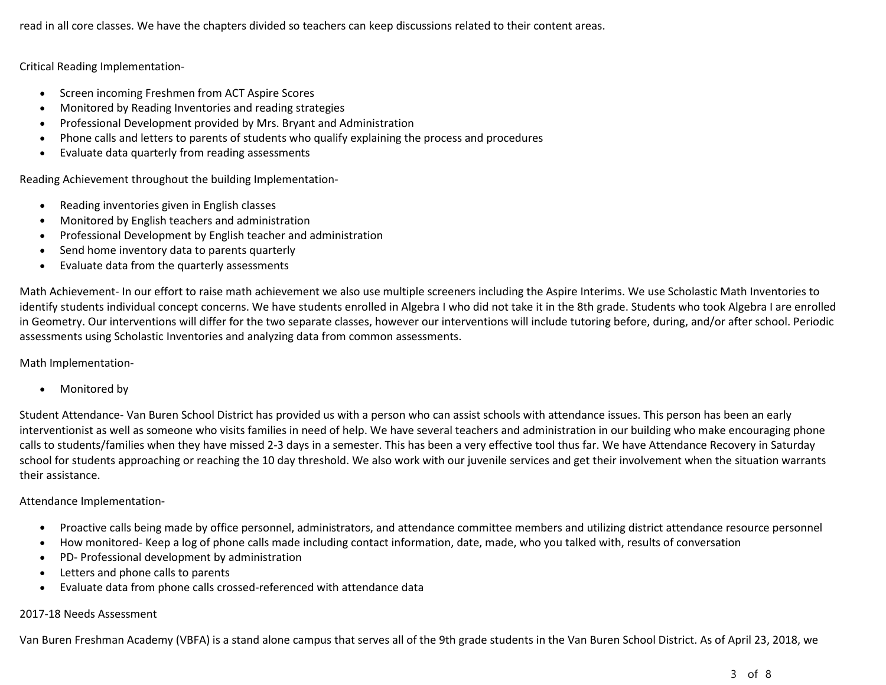read in all core classes. We have the chapters divided so teachers can keep discussions related to their content areas.

Critical Reading Implementation-

- Screen incoming Freshmen from ACT Aspire Scores
- Monitored by Reading Inventories and reading strategies
- Professional Development provided by Mrs. Bryant and Administration
- Phone calls and letters to parents of students who qualify explaining the process and procedures
- Evaluate data quarterly from reading assessments

Reading Achievement throughout the building Implementation-

- Reading inventories given in English classes
- Monitored by English teachers and administration
- Professional Development by English teacher and administration
- Send home inventory data to parents quarterly
- Evaluate data from the quarterly assessments

Math Achievement- In our effort to raise math achievement we also use multiple screeners including the Aspire Interims. We use Scholastic Math Inventories to identify students individual concept concerns. We have students enrolled in Algebra I who did not take it in the 8th grade. Students who took Algebra I are enrolled in Geometry. Our interventions will differ for the two separate classes, however our interventions will include tutoring before, during, and/or after school. Periodic assessments using Scholastic Inventories and analyzing data from common assessments.

Math Implementation-

• Monitored by

Student Attendance- Van Buren School District has provided us with a person who can assist schools with attendance issues. This person has been an early interventionist as well as someone who visits families in need of help. We have several teachers and administration in our building who make encouraging phone calls to students/families when they have missed 2-3 days in a semester. This has been a very effective tool thus far. We have Attendance Recovery in Saturday school for students approaching or reaching the 10 day threshold. We also work with our juvenile services and get their involvement when the situation warrants their assistance.

### Attendance Implementation-

- Proactive calls being made by office personnel, administrators, and attendance committee members and utilizing district attendance resource personnel
- How monitored- Keep a log of phone calls made including contact information, date, made, who you talked with, results of conversation
- PD- Professional development by administration
- Letters and phone calls to parents
- Evaluate data from phone calls crossed-referenced with attendance data

### 2017-18 Needs Assessment

Van Buren Freshman Academy (VBFA) is a stand alone campus that serves all of the 9th grade students in the Van Buren School District. As of April 23, 2018, we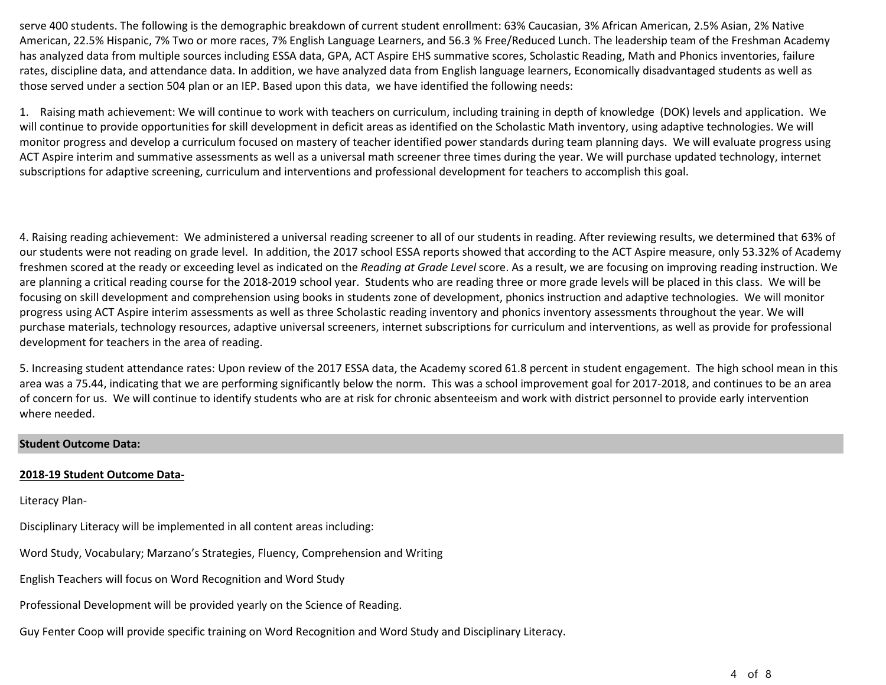serve 400 students. The following is the demographic breakdown of current student enrollment: 63% Caucasian, 3% African American, 2.5% Asian, 2% Native American, 22.5% Hispanic, 7% Two or more races, 7% English Language Learners, and 56.3 % Free/Reduced Lunch. The leadership team of the Freshman Academy has analyzed data from multiple sources including ESSA data, GPA, ACT Aspire EHS summative scores, Scholastic Reading, Math and Phonics inventories, failure rates, discipline data, and attendance data. In addition, we have analyzed data from English language learners, Economically disadvantaged students as well as those served under a section 504 plan or an IEP. Based upon this data, we have identified the following needs:

1. Raising math achievement: We will continue to work with teachers on curriculum, including training in depth of knowledge (DOK) levels and application. We will continue to provide opportunities for skill development in deficit areas as identified on the Scholastic Math inventory, using adaptive technologies. We will monitor progress and develop a curriculum focused on mastery of teacher identified power standards during team planning days. We will evaluate progress using ACT Aspire interim and summative assessments as well as a universal math screener three times during the year. We will purchase updated technology, internet subscriptions for adaptive screening, curriculum and interventions and professional development for teachers to accomplish this goal.

4. Raising reading achievement: We administered a universal reading screener to all of our students in reading. After reviewing results, we determined that 63% of our students were not reading on grade level. In addition, the 2017 school ESSA reports showed that according to the ACT Aspire measure, only 53.32% of Academy freshmen scored at the ready or exceeding level as indicated on the *Reading at Grade Level* score. As a result, we are focusing on improving reading instruction. We are planning a critical reading course for the 2018-2019 school year. Students who are reading three or more grade levels will be placed in this class. We will be focusing on skill development and comprehension using books in students zone of development, phonics instruction and adaptive technologies. We will monitor progress using ACT Aspire interim assessments as well as three Scholastic reading inventory and phonics inventory assessments throughout the year. We will purchase materials, technology resources, adaptive universal screeners, internet subscriptions for curriculum and interventions, as well as provide for professional development for teachers in the area of reading.

5. Increasing student attendance rates: Upon review of the 2017 ESSA data, the Academy scored 61.8 percent in student engagement. The high school mean in this area was a 75.44, indicating that we are performing significantly below the norm. This was a school improvement goal for 2017-2018, and continues to be an area of concern for us. We will continue to identify students who are at risk for chronic absenteeism and work with district personnel to provide early intervention where needed.

#### **Student Outcome Data:**

#### **2018-19 Student Outcome Data-**

Literacy Plan-

Disciplinary Literacy will be implemented in all content areas including:

Word Study, Vocabulary; Marzano's Strategies, Fluency, Comprehension and Writing

English Teachers will focus on Word Recognition and Word Study

Professional Development will be provided yearly on the Science of Reading.

Guy Fenter Coop will provide specific training on Word Recognition and Word Study and Disciplinary Literacy.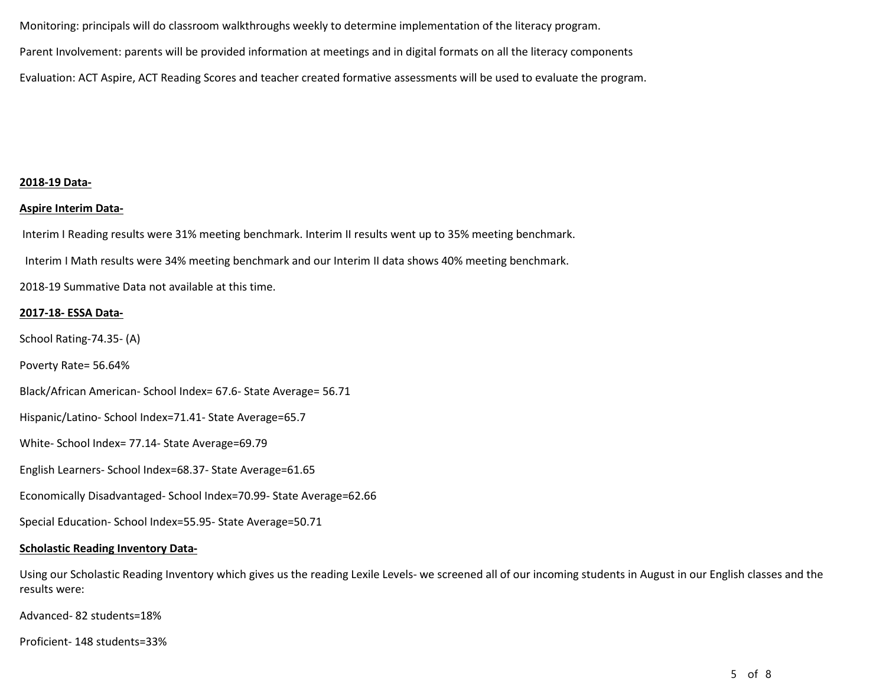Monitoring: principals will do classroom walkthroughs weekly to determine implementation of the literacy program. Parent Involvement: parents will be provided information at meetings and in digital formats on all the literacy components Evaluation: ACT Aspire, ACT Reading Scores and teacher created formative assessments will be used to evaluate the program.

#### **2018-19 Data-**

#### **Aspire Interim Data-**

Interim I Reading results were 31% meeting benchmark. Interim II results went up to 35% meeting benchmark.

Interim I Math results were 34% meeting benchmark and our Interim II data shows 40% meeting benchmark.

2018-19 Summative Data not available at this time.

#### **2017-18- ESSA Data-**

School Rating-74.35- (A)

Poverty Rate= 56.64%

Black/African American- School Index= 67.6- State Average= 56.71

Hispanic/Latino- School Index=71.41- State Average=65.7

White- School Index= 77.14- State Average=69.79

English Learners- School Index=68.37- State Average=61.65

Economically Disadvantaged- School Index=70.99- State Average=62.66

Special Education- School Index=55.95- State Average=50.71

#### **Scholastic Reading Inventory Data-**

Using our Scholastic Reading Inventory which gives us the reading Lexile Levels- we screened all of our incoming students in August in our English classes and the results were:

Advanced- 82 students=18%

Proficient- 148 students=33%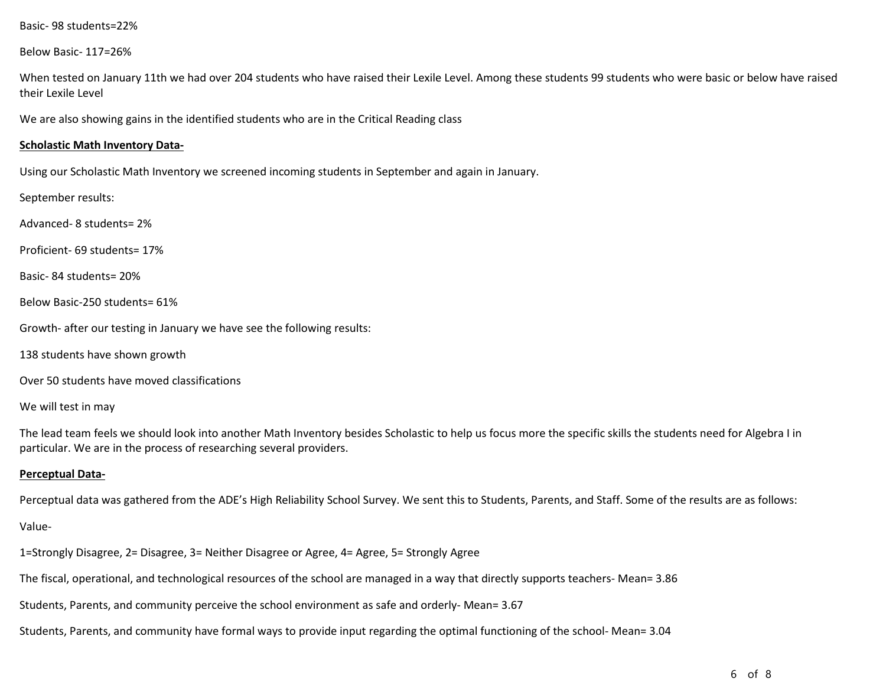Basic- 98 students=22%

Below Basic- 117=26%

When tested on January 11th we had over 204 students who have raised their Lexile Level. Among these students 99 students who were basic or below have raised their Lexile Level

We are also showing gains in the identified students who are in the Critical Reading class

#### **Scholastic Math Inventory Data-**

Using our Scholastic Math Inventory we screened incoming students in September and again in January.

September results:

Advanced- 8 students= 2%

Proficient- 69 students= 17%

Basic- 84 students= 20%

Below Basic-250 students= 61%

Growth- after our testing in January we have see the following results:

138 students have shown growth

Over 50 students have moved classifications

We will test in may

The lead team feels we should look into another Math Inventory besides Scholastic to help us focus more the specific skills the students need for Algebra I in particular. We are in the process of researching several providers.

#### **Perceptual Data-**

Perceptual data was gathered from the ADE's High Reliability School Survey. We sent this to Students, Parents, and Staff. Some of the results are as follows:

Value-

1=Strongly Disagree, 2= Disagree, 3= Neither Disagree or Agree, 4= Agree, 5= Strongly Agree

The fiscal, operational, and technological resources of the school are managed in a way that directly supports teachers- Mean= 3.86

Students, Parents, and community perceive the school environment as safe and orderly- Mean= 3.67

Students, Parents, and community have formal ways to provide input regarding the optimal functioning of the school- Mean= 3.04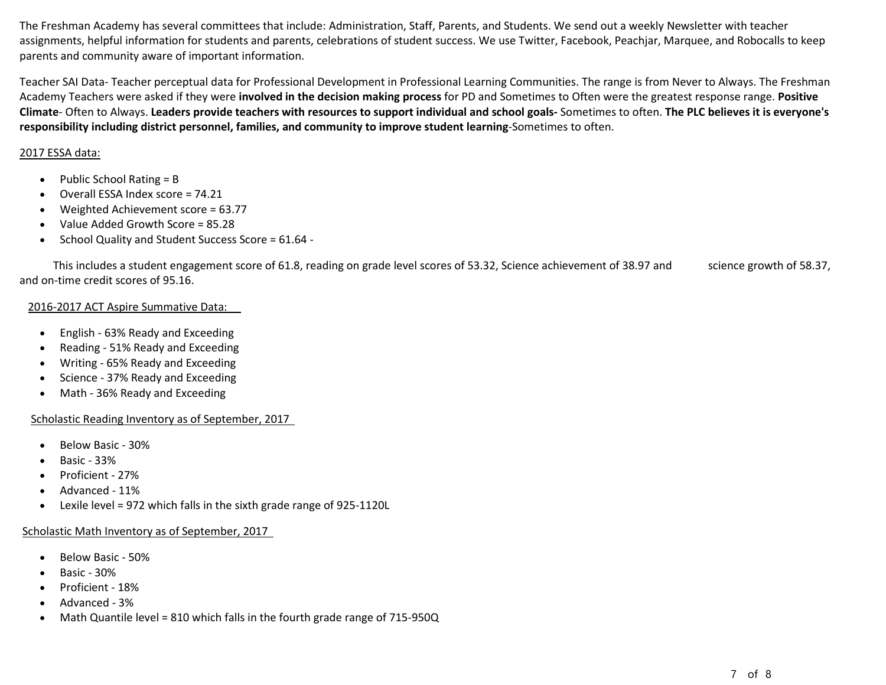The Freshman Academy has several committees that include: Administration, Staff, Parents, and Students. We send out a weekly Newsletter with teacher assignments, helpful information for students and parents, celebrations of student success. We use Twitter, Facebook, Peachjar, Marquee, and Robocalls to keep parents and community aware of important information.

Teacher SAI Data- Teacher perceptual data for Professional Development in Professional Learning Communities. The range is from Never to Always. The Freshman Academy Teachers were asked if they were **involved in the decision making process** for PD and Sometimes to Often were the greatest response range. **Positive Climate**- Often to Always. **Leaders provide teachers with resources to support individual and school goals-** Sometimes to often. **The PLC believes it is everyone's responsibility including district personnel, families, and community to improve student learning**-Sometimes to often.

# 2017 ESSA data:

- Public School Rating = B
- Overall ESSA Index score = 74.21
- Weighted Achievement score = 63.77
- Value Added Growth Score = 85.28
- School Quality and Student Success Score = 61.64 -

This includes a student engagement score of 61.8, reading on grade level scores of 53.32, Science achievement of 38.97 and science growth of 58.37, and on-time credit scores of 95.16.

# 2016-2017 ACT Aspire Summative Data:

- English 63% Ready and Exceeding
- Reading 51% Ready and Exceeding
- Writing 65% Ready and Exceeding
- Science 37% Ready and Exceeding
- Math 36% Ready and Exceeding

# Scholastic Reading Inventory as of September, 2017

- Below Basic 30%
- Basic 33%
- Proficient 27%
- Advanced 11%
- Lexile level = 972 which falls in the sixth grade range of 925-1120L

# Scholastic Math Inventory as of September, 2017

- Below Basic 50%
- Basic 30%
- Proficient 18%
- Advanced 3%
- Math Quantile level = 810 which falls in the fourth grade range of 715-950Q